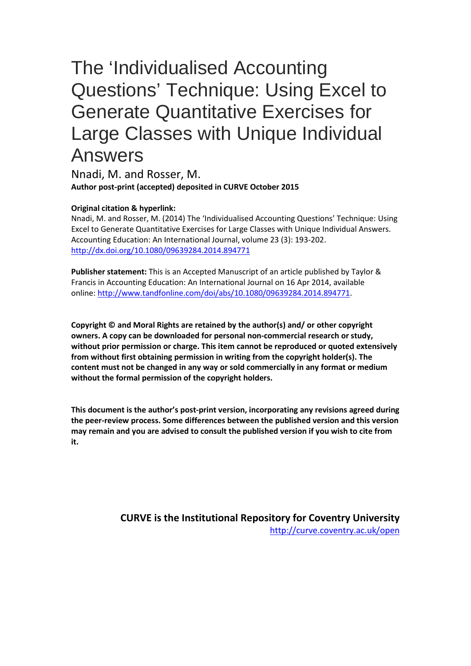# The 'Individualised Accounting Questions' Technique: Using Excel to Generate Quantitative Exercises for Large Classes with Unique Individual Answers

Nnadi, M. and Rosser, M. **Author post-print (accepted) deposited in CURVE October 2015**

#### **Original citation & hyperlink:**

Nnadi, M. and Rosser, M. (2014) The 'Individualised Accounting Questions' Technique: Using Excel to Generate Quantitative Exercises for Large Classes with Unique Individual Answers. Accounting Education: An International Journal, volume 23 (3): 193-202. <http://dx.doi.org/10.1080/09639284.2014.894771>

**Publisher statement:** This is an Accepted Manuscript of an article published by Taylor & Francis in Accounting Education: An International Journal on 16 Apr 2014, available online: [http://www.tandfonline.com/doi/abs/10.1080/09639284.2014.894771.](http://www.tandfonline.com/doi/abs/10.1080/09639284.2014.894771)

**Copyright © and Moral Rights are retained by the author(s) and/ or other copyright owners. A copy can be downloaded for personal non-commercial research or study, without prior permission or charge. This item cannot be reproduced or quoted extensively from without first obtaining permission in writing from the copyright holder(s). The content must not be changed in any way or sold commercially in any format or medium without the formal permission of the copyright holders.** 

**This document is the author's post-print version, incorporating any revisions agreed during the peer-review process. Some differences between the published version and this version may remain and you are advised to consult the published version if you wish to cite from it.** 

> **CURVE is the Institutional Repository for Coventry University** <http://curve.coventry.ac.uk/open>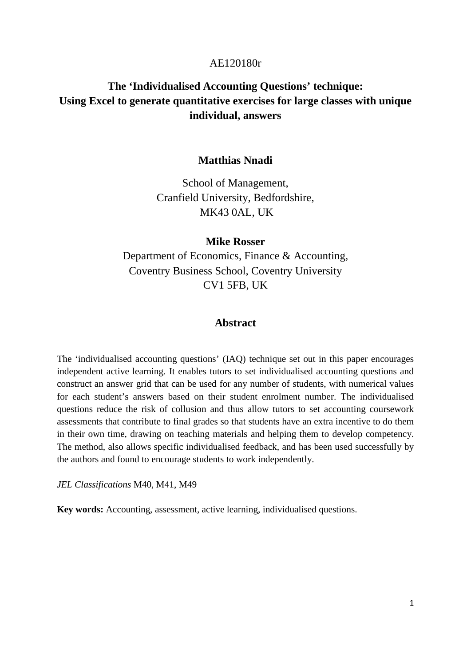## AE120180r

# **The 'Individualised Accounting Questions' technique: Using Excel to generate quantitative exercises for large classes with unique individual, answers**

## **Matthias Nnadi**

School of Management, Cranfield University, Bedfordshire, MK43 0AL, UK

## **Mike Rosser**

Department of Economics, Finance & Accounting, Coventry Business School, Coventry University CV1 5FB, UK

#### **Abstract**

The 'individualised accounting questions' (IAQ) technique set out in this paper encourages independent active learning. It enables tutors to set individualised accounting questions and construct an answer grid that can be used for any number of students, with numerical values for each student's answers based on their student enrolment number. The individualised questions reduce the risk of collusion and thus allow tutors to set accounting coursework assessments that contribute to final grades so that students have an extra incentive to do them in their own time, drawing on teaching materials and helping them to develop competency. The method, also allows specific individualised feedback, and has been used successfully by the authors and found to encourage students to work independently.

*JEL Classifications* M40, M41, M49

**Key words:** Accounting, assessment, active learning, individualised questions.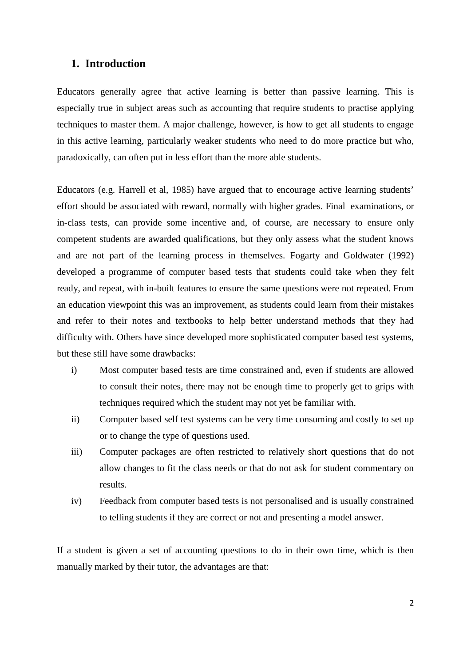## **1. Introduction**

Educators generally agree that active learning is better than passive learning. This is especially true in subject areas such as accounting that require students to practise applying techniques to master them. A major challenge, however, is how to get all students to engage in this active learning, particularly weaker students who need to do more practice but who, paradoxically, can often put in less effort than the more able students.

Educators (e.g. Harrell et al, 1985) have argued that to encourage active learning students' effort should be associated with reward, normally with higher grades. Final examinations, or in-class tests, can provide some incentive and, of course, are necessary to ensure only competent students are awarded qualifications, but they only assess what the student knows and are not part of the learning process in themselves. Fogarty and Goldwater (1992) developed a programme of computer based tests that students could take when they felt ready, and repeat, with in-built features to ensure the same questions were not repeated. From an education viewpoint this was an improvement, as students could learn from their mistakes and refer to their notes and textbooks to help better understand methods that they had difficulty with. Others have since developed more sophisticated computer based test systems, but these still have some drawbacks:

- i) Most computer based tests are time constrained and, even if students are allowed to consult their notes, there may not be enough time to properly get to grips with techniques required which the student may not yet be familiar with.
- ii) Computer based self test systems can be very time consuming and costly to set up or to change the type of questions used.
- iii) Computer packages are often restricted to relatively short questions that do not allow changes to fit the class needs or that do not ask for student commentary on results.
- iv) Feedback from computer based tests is not personalised and is usually constrained to telling students if they are correct or not and presenting a model answer.

If a student is given a set of accounting questions to do in their own time, which is then manually marked by their tutor, the advantages are that: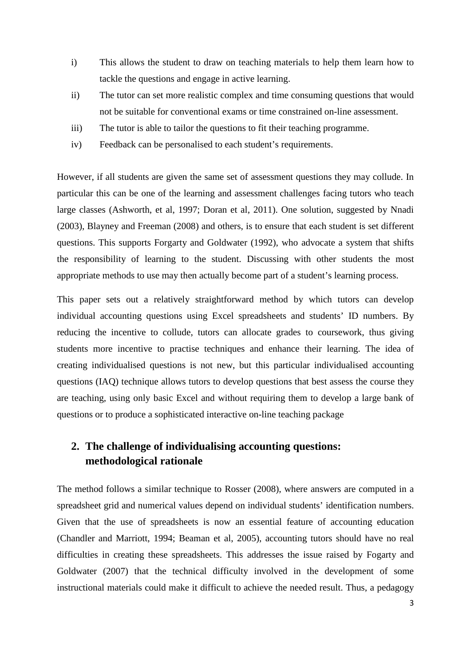- i) This allows the student to draw on teaching materials to help them learn how to tackle the questions and engage in active learning.
- ii) The tutor can set more realistic complex and time consuming questions that would not be suitable for conventional exams or time constrained on-line assessment.
- iii) The tutor is able to tailor the questions to fit their teaching programme.
- iv) Feedback can be personalised to each student's requirements.

However, if all students are given the same set of assessment questions they may collude. In particular this can be one of the learning and assessment challenges facing tutors who teach large classes (Ashworth, et al, 1997; Doran et al, 2011). One solution, suggested by Nnadi (2003), Blayney and Freeman (2008) and others, is to ensure that each student is set different questions. This supports Forgarty and Goldwater (1992), who advocate a system that shifts the responsibility of learning to the student. Discussing with other students the most appropriate methods to use may then actually become part of a student's learning process.

This paper sets out a relatively straightforward method by which tutors can develop individual accounting questions using Excel spreadsheets and students' ID numbers. By reducing the incentive to collude, tutors can allocate grades to coursework, thus giving students more incentive to practise techniques and enhance their learning. The idea of creating individualised questions is not new, but this particular individualised accounting questions (IAQ) technique allows tutors to develop questions that best assess the course they are teaching, using only basic Excel and without requiring them to develop a large bank of questions or to produce a sophisticated interactive on-line teaching package

# **2. The challenge of individualising accounting questions: methodological rationale**

The method follows a similar technique to Rosser (2008), where answers are computed in a spreadsheet grid and numerical values depend on individual students' identification numbers. Given that the use of spreadsheets is now an essential feature of accounting education (Chandler and Marriott, 1994; Beaman et al, 2005), accounting tutors should have no real difficulties in creating these spreadsheets. This addresses the issue raised by Fogarty and Goldwater (2007) that the technical difficulty involved in the development of some instructional materials could make it difficult to achieve the needed result. Thus, a pedagogy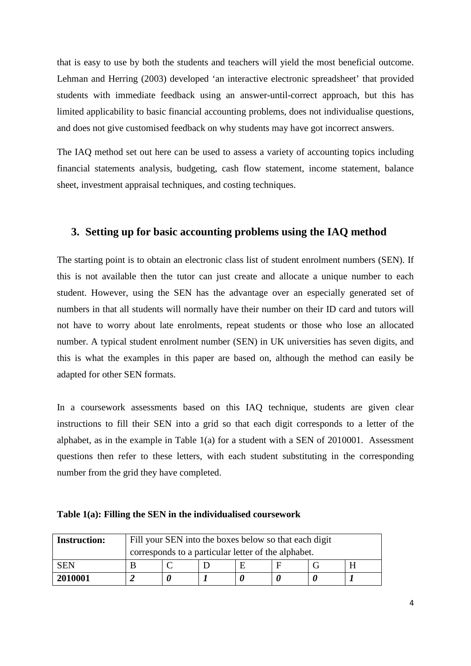that is easy to use by both the students and teachers will yield the most beneficial outcome. Lehman and Herring (2003) developed 'an interactive electronic spreadsheet' that provided students with immediate feedback using an answer-until-correct approach, but this has limited applicability to basic financial accounting problems, does not individualise questions, and does not give customised feedback on why students may have got incorrect answers.

The IAQ method set out here can be used to assess a variety of accounting topics including financial statements analysis, budgeting, cash flow statement, income statement, balance sheet, investment appraisal techniques, and costing techniques.

## **3. Setting up for basic accounting problems using the IAQ method**

The starting point is to obtain an electronic class list of student enrolment numbers (SEN). If this is not available then the tutor can just create and allocate a unique number to each student. However, using the SEN has the advantage over an especially generated set of numbers in that all students will normally have their number on their ID card and tutors will not have to worry about late enrolments, repeat students or those who lose an allocated number. A typical student enrolment number (SEN) in UK universities has seven digits, and this is what the examples in this paper are based on, although the method can easily be adapted for other SEN formats.

In a coursework assessments based on this IAQ technique, students are given clear instructions to fill their SEN into a grid so that each digit corresponds to a letter of the alphabet, as in the example in Table 1(a) for a student with a SEN of 2010001. Assessment questions then refer to these letters, with each student substituting in the corresponding number from the grid they have completed.

| <b>Instruction:</b> | Fill your SEN into the boxes below so that each digit |                                                     |  |  |  |  |   |  |  |  |  |  |  |
|---------------------|-------------------------------------------------------|-----------------------------------------------------|--|--|--|--|---|--|--|--|--|--|--|
|                     |                                                       | corresponds to a particular letter of the alphabet. |  |  |  |  |   |  |  |  |  |  |  |
| <b>SEN</b>          |                                                       |                                                     |  |  |  |  | Н |  |  |  |  |  |  |
| 2010001             |                                                       |                                                     |  |  |  |  |   |  |  |  |  |  |  |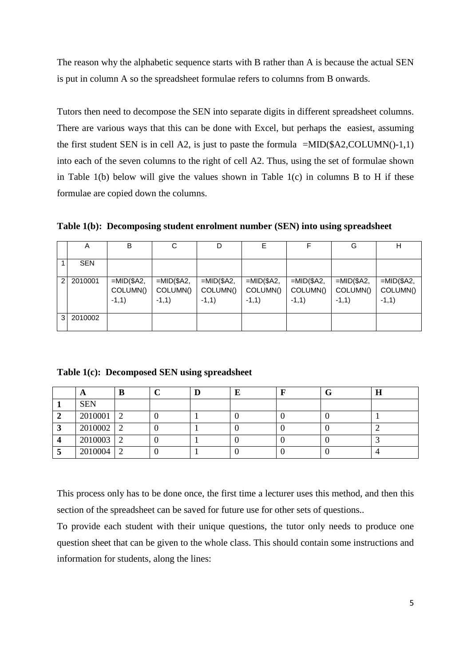The reason why the alphabetic sequence starts with B rather than A is because the actual SEN is put in column A so the spreadsheet formulae refers to columns from B onwards.

Tutors then need to decompose the SEN into separate digits in different spreadsheet columns. There are various ways that this can be done with Excel, but perhaps the easiest, assuming the first student SEN is in cell A2, is just to paste the formula  $=MID($A2, COLUMN() -1,1)$ into each of the seven columns to the right of cell A2. Thus, using the set of formulae shown in Table 1(b) below will give the values shown in Table 1(c) in columns B to H if these formulae are copied down the columns.

**Table 1(b): Decomposing student enrolment number (SEN) into using spreadsheet** 

|               | A          | В                                  | С                                  |                                    | F                                  | F                                  | G                                  | н                                  |
|---------------|------------|------------------------------------|------------------------------------|------------------------------------|------------------------------------|------------------------------------|------------------------------------|------------------------------------|
|               | <b>SEN</b> |                                    |                                    |                                    |                                    |                                    |                                    |                                    |
| $\mathcal{P}$ | 2010001    | $=MID($A2,$<br>COLUMN()<br>$-1,1)$ | $=MID($A2,$<br>COLUMN()<br>$-1,1)$ | $=MID($A2,$<br>COLUMN()<br>$-1,1)$ | $=MID($A2,$<br>COLUMN()<br>$-1,1)$ | $=MID($A2,$<br>COLUMN()<br>$-1,1)$ | $=MID($A2,$<br>COLUMN()<br>$-1,1)$ | $=MID($A2,$<br>COLUMN()<br>$-1,1)$ |
| 3             | 2010002    |                                    |                                    |                                    |                                    |                                    |                                    |                                    |

**Table 1(c): Decomposed SEN using spreadsheet** 

| A           | В         |  |  | $\mathbf H$ |
|-------------|-----------|--|--|-------------|
| <b>SEN</b>  |           |  |  |             |
| 2010001     | 2         |  |  |             |
| $2010002$ 2 |           |  |  |             |
| 2010003 2   |           |  |  |             |
| 2010004     | $\bigcap$ |  |  |             |

This process only has to be done once, the first time a lecturer uses this method, and then this section of the spreadsheet can be saved for future use for other sets of questions..

To provide each student with their unique questions, the tutor only needs to produce one question sheet that can be given to the whole class. This should contain some instructions and information for students, along the lines: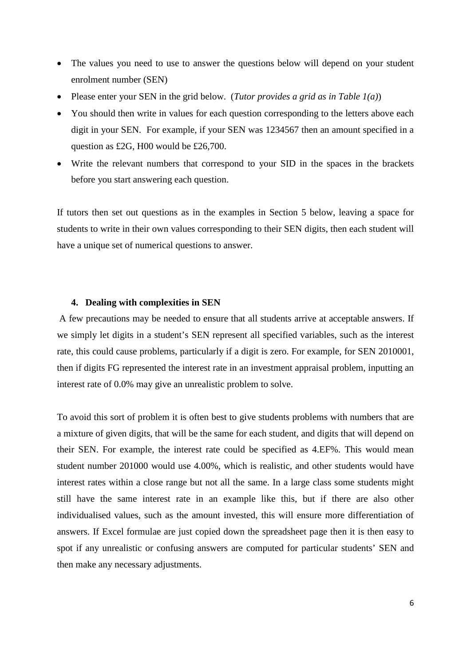- The values you need to use to answer the questions below will depend on your student enrolment number (SEN)
- Please enter your SEN in the grid below. (*Tutor provides a grid as in Table 1(a)*)
- You should then write in values for each question corresponding to the letters above each digit in your SEN. For example, if your SEN was 1234567 then an amount specified in a question as £2G, H00 would be £26,700.
- Write the relevant numbers that correspond to your SID in the spaces in the brackets before you start answering each question.

If tutors then set out questions as in the examples in Section 5 below, leaving a space for students to write in their own values corresponding to their SEN digits, then each student will have a unique set of numerical questions to answer.

#### **4. Dealing with complexities in SEN**

A few precautions may be needed to ensure that all students arrive at acceptable answers. If we simply let digits in a student's SEN represent all specified variables, such as the interest rate, this could cause problems, particularly if a digit is zero. For example, for SEN 2010001, then if digits FG represented the interest rate in an investment appraisal problem, inputting an interest rate of 0.0% may give an unrealistic problem to solve.

To avoid this sort of problem it is often best to give students problems with numbers that are a mixture of given digits, that will be the same for each student, and digits that will depend on their SEN. For example, the interest rate could be specified as 4.EF%. This would mean student number 201000 would use 4.00%, which is realistic, and other students would have interest rates within a close range but not all the same. In a large class some students might still have the same interest rate in an example like this, but if there are also other individualised values, such as the amount invested, this will ensure more differentiation of answers. If Excel formulae are just copied down the spreadsheet page then it is then easy to spot if any unrealistic or confusing answers are computed for particular students' SEN and then make any necessary adjustments.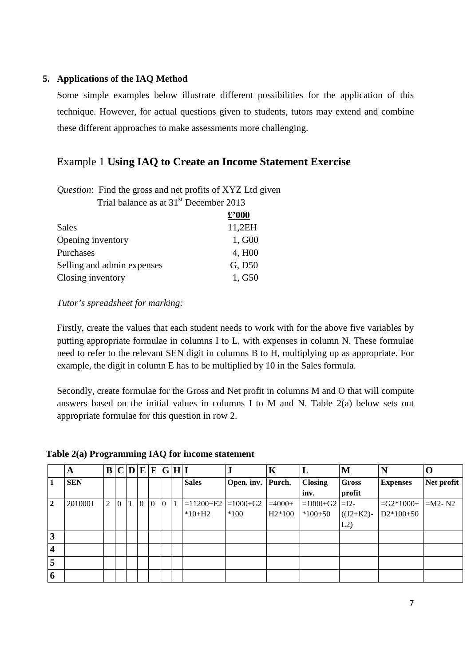## **5. Applications of the IAQ Method**

Some simple examples below illustrate different possibilities for the application of this technique. However, for actual questions given to students, tutors may extend and combine these different approaches to make assessments more challenging.

# Example 1 **Using IAQ to Create an Income Statement Exercise**

| Question: Find the gross and net profits of XYZ Ltd given |                   |
|-----------------------------------------------------------|-------------------|
| Trial balance as at 31 <sup>st</sup> December 2013        |                   |
|                                                           | $\pounds$ '000    |
| Sales                                                     | 11,2EH            |
| Opening inventory                                         | 1, G <sub>0</sub> |
| Purchases                                                 | 4, H <sub>0</sub> |
| Selling and admin expenses                                | G, D50            |
| Closing inventory                                         | 1, G50            |

## *Tutor's spreadsheet for marking:*

Firstly, create the values that each student needs to work with for the above five variables by putting appropriate formulae in columns I to L, with expenses in column N. These formulae need to refer to the relevant SEN digit in columns B to H, multiplying up as appropriate. For example, the digit in column E has to be multiplied by 10 in the Sales formula.

Secondly, create formulae for the Gross and Net profit in columns M and O that will compute answers based on the initial values in columns I to M and N. Table 2(a) below sets out appropriate formulae for this question in row 2.

|   | A          | B | $\mathbf C$ | D            | E        | $\mathbf{F}$ |          | G H I |                       | ٠.                | K        | L                | M           |                     |            |
|---|------------|---|-------------|--------------|----------|--------------|----------|-------|-----------------------|-------------------|----------|------------------|-------------|---------------------|------------|
| 1 | <b>SEN</b> |   |             |              |          |              |          |       | <b>Sales</b>          | Open. inv. Purch. |          | <b>Closing</b>   | Gross       | <b>Expenses</b>     | Net profit |
|   |            |   |             |              |          |              |          |       |                       |                   |          | inv.             | profit      |                     |            |
| 2 | 2010001    | 2 | $\theta$    | $\mathbf{1}$ | $\theta$ | $\theta$     | $\theta$ |       | $=11200+E2$ = 1000+G2 |                   | $=4000+$ | $=1000+G2$ = I2- |             | $=G2*1000+$ = M2-N2 |            |
|   |            |   |             |              |          |              |          |       | $*10+H2$              | $*100$            | $H2*100$ | $*100+50$        | $((J2+K2)-$ | $D2*100+50$         |            |
|   |            |   |             |              |          |              |          |       |                       |                   |          |                  | L2)         |                     |            |
| 3 |            |   |             |              |          |              |          |       |                       |                   |          |                  |             |                     |            |
| 4 |            |   |             |              |          |              |          |       |                       |                   |          |                  |             |                     |            |
| 5 |            |   |             |              |          |              |          |       |                       |                   |          |                  |             |                     |            |
| 6 |            |   |             |              |          |              |          |       |                       |                   |          |                  |             |                     |            |

#### **Table 2(a) Programming IAQ for income statement**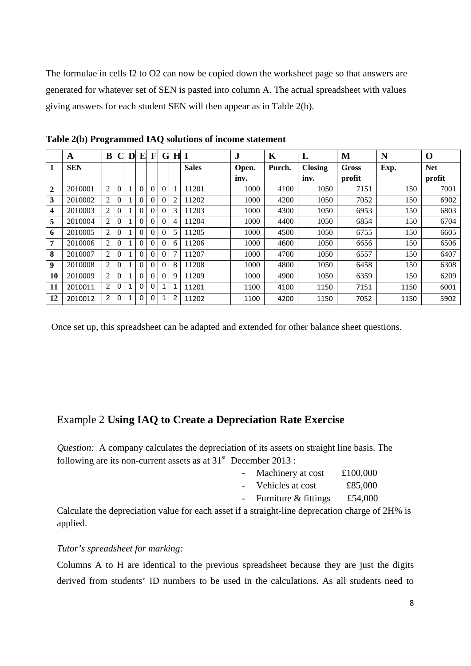The formulae in cells I2 to O2 can now be copied down the worksheet page so that answers are generated for whatever set of SEN is pasted into column A. The actual spreadsheet with values giving answers for each student SEN will then appear as in Table 2(b).

|                | $\mathbf A$ | B              | C        | D | E        | F        | G        |                | H <sub>I</sub> | $\mathbf{J}$ | K      | L              | M            | N    | $\mathbf 0$ |
|----------------|-------------|----------------|----------|---|----------|----------|----------|----------------|----------------|--------------|--------|----------------|--------------|------|-------------|
| 1              | <b>SEN</b>  |                |          |   |          |          |          |                | <b>Sales</b>   | Open.        | Purch. | <b>Closing</b> | <b>Gross</b> | Exp. | <b>Net</b>  |
|                |             |                |          |   |          |          |          |                |                | inv.         |        | inv.           | profit       |      | profit      |
| $\overline{2}$ | 2010001     | $\overline{2}$ | $\Omega$ |   | $\Omega$ | $\Omega$ | $\theta$ |                | 11201          | 1000         | 4100   | 1050           | 7151         | 150  | 7001        |
| 3              | 2010002     | 2              | $\theta$ |   | 0        | 0        | $\theta$ | $\overline{c}$ | 11202          | 1000         | 4200   | 1050           | 7052         | 150  | 6902        |
| 4              | 2010003     | 2              | $\Omega$ |   | 0        | 0        | $\Omega$ | 3              | 11203          | 1000         | 4300   | 1050           | 6953         | 150  | 6803        |
| 5              | 2010004     | 2              | 0        |   |          | $\Omega$ | 0        | 4              | 11204          | 1000         | 4400   | 1050           | 6854         | 150  | 6704        |
| 6              | 2010005     | 2              | $\Omega$ |   | 0        | 0        | $\theta$ | 5              | 11205          | 1000         | 4500   | 1050           | 6755         | 150  | 6605        |
| 7              | 2010006     | $\overline{2}$ | $\Omega$ |   | $\Omega$ | $\Omega$ | $\Omega$ | 6              | 11206          | 1000         | 4600   | 1050           | 6656         | 150  | 6506        |
| 8              | 2010007     | 2              | 0        |   |          |          | $\theta$ | 7              | 11207          | 1000         | 4700   | 1050           | 6557         | 150  | 6407        |
| 9              | 2010008     | $\overline{2}$ | 0        |   | 0        | $\Omega$ | $\Omega$ | 8              | 11208          | 1000         | 4800   | 1050           | 6458         | 150  | 6308        |
| 10             | 2010009     | $\overline{2}$ | $\Omega$ |   | 0        | 0        | $\theta$ | 9              | 11209          | 1000         | 4900   | 1050           | 6359         | 150  | 6209        |
| 11             | 2010011     | 2              | 0        |   | $\Omega$ | $\Omega$ |          |                | 11201          | 1100         | 4100   | 1150           | 7151         | 1150 | 6001        |
| 12             | 2010012     | 2              | 0        |   | 0        | $\Omega$ |          | 2              | 11202          | 1100         | 4200   | 1150           | 7052         | 1150 | 5902        |

**Table 2(b) Programmed IAQ solutions of income statement**

Once set up, this spreadsheet can be adapted and extended for other balance sheet questions.

# Example 2 **Using IAQ to Create a Depreciation Rate Exercise**

*Question:* A company calculates the depreciation of its assets on straight line basis. The following are its non-current assets as at  $31<sup>st</sup>$  December 2013:

- Machinery at cost £100,000
- Vehicles at cost £85,000
- Furniture  $&$  fittings £54,000

Calculate the depreciation value for each asset if a straight-line deprecation charge of 2H% is applied.

## *Tutor's spreadsheet for marking:*

Columns A to H are identical to the previous spreadsheet because they are just the digits derived from students' ID numbers to be used in the calculations. As all students need to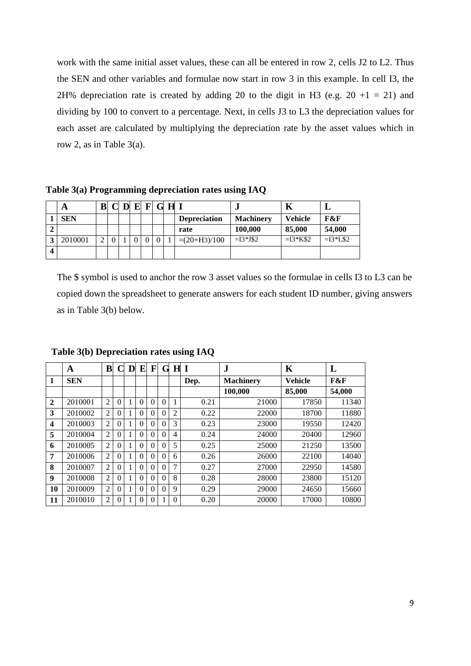work with the same initial asset values, these can all be entered in row 2, cells J2 to L2. Thus the SEN and other variables and formulae now start in row 3 in this example. In cell I3, the 2H% depreciation rate is created by adding 20 to the digit in H3 (e.g.  $20 + 1 = 21$ ) and dividing by 100 to convert to a percentage. Next, in cells J3 to L3 the depreciation values for each asset are calculated by multiplying the depreciation rate by the asset values which in row 2, as in Table 3(a).

**Table 3(a) Programming depreciation rates using IAQ**

|                         | A          | ${\bf B}$ |  |  | $C$ D E F G H I |                     |                  | Κ              | ┻         |
|-------------------------|------------|-----------|--|--|-----------------|---------------------|------------------|----------------|-----------|
|                         | <b>SEN</b> |           |  |  |                 | <b>Depreciation</b> | <b>Machinery</b> | <b>Vehicle</b> | F&F       |
|                         |            |           |  |  |                 | rate                | 100,000          | 85,000         | 54,000    |
|                         | 2010001    |           |  |  |                 | $=(20+H_3)/100$     | $=13*J$2$        | $=13*K$2$      | $=13*L$2$ |
| $\overline{\mathbf{4}}$ |            |           |  |  |                 |                     |                  |                |           |

The \$ symbol is used to anchor the row 3 asset values so the formulae in cells I3 to L3 can be copied down the spreadsheet to generate answers for each student ID number, giving answers as in Table 3(b) below.

|              | A          | B              | $\mathsf{\Gamma}$ | D | E        | F        | G        | $\bf H$  | $\mathbf I$ | $\mathbf J$      | K              | L      |
|--------------|------------|----------------|-------------------|---|----------|----------|----------|----------|-------------|------------------|----------------|--------|
| 1            | <b>SEN</b> |                |                   |   |          |          |          |          | Dep.        | <b>Machinery</b> | <b>Vehicle</b> | F&F    |
|              |            |                |                   |   |          |          |          |          |             | 100,000          | 85,000         | 54,000 |
| $\mathbf{2}$ | 2010001    | $\overline{2}$ | $\theta$          |   | $\theta$ | 0        | 0        | 1        | 0.21        | 21000            | 17850          | 11340  |
| 3            | 2010002    | $\overline{2}$ | $\theta$          |   | $\theta$ | 0        |          | 2        | 0.22        | 22000            | 18700          | 11880  |
| 4            | 2010003    | $\overline{2}$ | $\theta$          |   | $\theta$ | 0        |          | 3        | 0.23        | 23000            | 19550          | 12420  |
| 5            | 2010004    | $\overline{2}$ | $\theta$          |   | $\theta$ | 0        | 0        | 4        | 0.24        | 24000            | 20400          | 12960  |
| 6            | 2010005    | $\overline{2}$ | $\theta$          |   | $\Omega$ | 0        |          | 5        | 0.25        | 25000            | 21250          | 13500  |
| 7            | 2010006    | $\overline{2}$ | $\theta$          |   | $\theta$ | 0        | 0        | 6        | 0.26        | 26000            | 22100          | 14040  |
| 8            | 2010007    | $\overline{2}$ | $\theta$          |   | $\theta$ | $\Omega$ | $\Omega$ | 7        | 0.27        | 27000            | 22950          | 14580  |
| 9            | 2010008    | $\overline{2}$ | $\theta$          |   | $\theta$ | 0        |          | 8        | 0.28        | 28000            | 23800          | 15120  |
| 10           | 2010009    | $\overline{2}$ | $\theta$          |   | $\theta$ | 0        |          | 9        | 0.29        | 29000            | 24650          | 15660  |
| 11           | 2010010    | 2              | $\Omega$          |   | $\Omega$ | 0        |          | $\Omega$ | 0.20        | 20000            | 17000          | 10800  |

**Table 3(b) Depreciation rates using IAQ**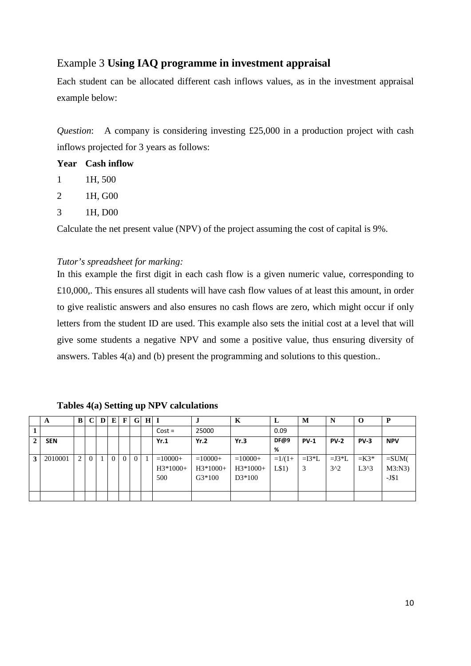# Example 3 **Using IAQ programme in investment appraisal**

Each student can be allocated different cash inflows values, as in the investment appraisal example below:

*Question*: A company is considering investing £25,000 in a production project with cash inflows projected for 3 years as follows:

|    | <b>Year</b> Cash inflow |
|----|-------------------------|
| -1 | 1H, 500                 |
| 2  | 1H, G00                 |
| 3  | 1H, D <sub>00</sub>     |

Calculate the net present value (NPV) of the project assuming the cost of capital is 9%.

#### *Tutor's spreadsheet for marking:*

In this example the first digit in each cash flow is a given numeric value, corresponding to £10,000,. This ensures all students will have cash flow values of at least this amount, in order to give realistic answers and also ensures no cash flows are zero, which might occur if only letters from the student ID are used. This example also sets the initial cost at a level that will give some students a negative NPV and some a positive value, thus ensuring diversity of answers. Tables 4(a) and (b) present the programming and solutions to this question..

**Tables 4(a) Setting up NPV calculations**

|              | A          | B | $\mathbf C$  | D | E        | $\mathbf{F}$ | G.       | H <sub>l</sub> |            |            | K          | L        | М       | N           | $\bf{O}$ | Р          |
|--------------|------------|---|--------------|---|----------|--------------|----------|----------------|------------|------------|------------|----------|---------|-------------|----------|------------|
|              |            |   |              |   |          |              |          |                | $Cost =$   | 25000      |            | 0.09     |         |             |          |            |
| $\mathbf{2}$ | <b>SEN</b> |   |              |   |          |              |          |                | Yr.1       | Yr.2       | Yr.3       | DF@9     | $PV-1$  | <b>PV-2</b> | $PV-3$   | <b>NPV</b> |
|              |            |   |              |   |          |              |          |                |            |            |            | %        |         |             |          |            |
| 3            | 2010001    | 2 | $\mathbf{0}$ |   | $\theta$ | $\Omega$     | $\Omega$ |                | $=10000+$  | $=10000+$  | $=10000+$  | $=1/(1+$ | $=13*L$ | $=$ J3*L    | $=$ K3*  | $=SUM($    |
|              |            |   |              |   |          |              |          |                | $H3*1000+$ | $H3*1000+$ | $H3*1000+$ | L\$1)    | 3       | $3^2$       | $L3^3$   | M3:N3      |
|              |            |   |              |   |          |              |          |                | 500        | $G3*100$   | $D3*100$   |          |         |             |          | $-J$1$     |
|              |            |   |              |   |          |              |          |                |            |            |            |          |         |             |          |            |
|              |            |   |              |   |          |              |          |                |            |            |            |          |         |             |          |            |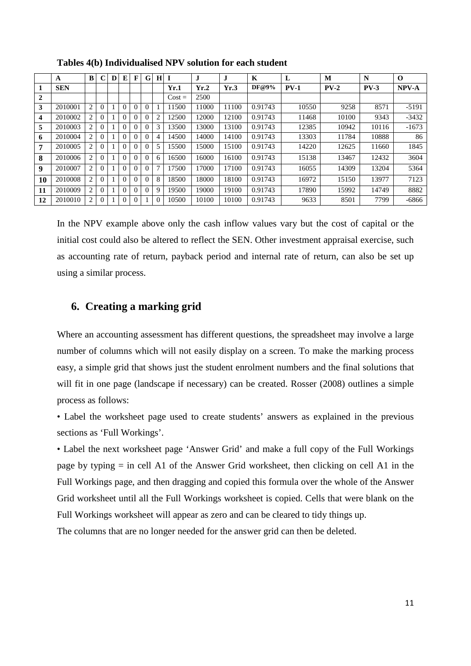|                | A          | B              |   | D | E | F        | G        | Н              |          | J.    | J     | K       | L      | M      | N      | $\Omega$ |
|----------------|------------|----------------|---|---|---|----------|----------|----------------|----------|-------|-------|---------|--------|--------|--------|----------|
| 1              | <b>SEN</b> |                |   |   |   |          |          |                | Yr.1     | Yr.2  | Yr.3  | DF@9%   | $PV-1$ | $PV-2$ | $PV-3$ | NPV-A    |
| $\overline{2}$ |            |                |   |   |   |          |          |                | $Cost =$ | 2500  |       |         |        |        |        |          |
| 3              | 2010001    | 2              | 0 |   | 0 | $\theta$ | $\theta$ |                | 11500    | 11000 | 11100 | 0.91743 | 10550  | 9258   | 8571   | $-5191$  |
| 4              | 2010002    | 2              |   |   | 0 | $\Omega$ | $\theta$ | $\overline{2}$ | 12500    | 12000 | 12100 | 0.91743 | 11468  | 10100  | 9343   | $-3432$  |
| 5              | 2010003    | 2              |   |   | 0 | $\theta$ | $\theta$ | 3              | 13500    | 13000 | 13100 | 0.91743 | 12385  | 10942  | 10116  | $-1673$  |
| 6              | 2010004    | 2              |   |   | 0 | $\theta$ | $\theta$ | 4              | 14500    | 14000 | 14100 | 0.91743 | 13303  | 11784  | 10888  | 86       |
| 7              | 2010005    | 2              |   |   | 0 | $\theta$ | $\theta$ |                | 15500    | 15000 | 15100 | 0.91743 | 14220  | 12625  | 11660  | 1845     |
| 8              | 2010006    | $\overline{c}$ |   |   | 0 | $\Omega$ | $\Omega$ | 6              | 16500    | 16000 | 16100 | 0.91743 | 15138  | 13467  | 12432  | 3604     |
| 9              | 2010007    | 2              |   |   | 0 | $\Omega$ | 0        | 7              | 17500    | 17000 | 17100 | 0.91743 | 16055  | 14309  | 13204  | 5364     |
| 10             | 2010008    | $\overline{c}$ |   |   | 0 | $\Omega$ | $\Omega$ | 8              | 18500    | 18000 | 18100 | 0.91743 | 16972  | 15150  | 13977  | 7123     |
| 11             | 2010009    | 2              |   |   | 0 | $\theta$ | $\theta$ | 9              | 19500    | 19000 | 19100 | 0.91743 | 17890  | 15992  | 14749  | 8882     |
| 12             | 2010010    | $\overline{c}$ |   |   | 0 | $\theta$ |          | 0              | 10500    | 10100 | 10100 | 0.91743 | 9633   | 8501   | 7799   | $-6866$  |

**Tables 4(b) Individualised NPV solution for each student**

In the NPV example above only the cash inflow values vary but the cost of capital or the initial cost could also be altered to reflect the SEN. Other investment appraisal exercise, such as accounting rate of return, payback period and internal rate of return, can also be set up using a similar process.

## **6. Creating a marking grid**

Where an accounting assessment has different questions, the spreadsheet may involve a large number of columns which will not easily display on a screen. To make the marking process easy, a simple grid that shows just the student enrolment numbers and the final solutions that will fit in one page (landscape if necessary) can be created. Rosser (2008) outlines a simple process as follows:

• Label the worksheet page used to create students' answers as explained in the previous sections as 'Full Workings'.

• Label the next worksheet page 'Answer Grid' and make a full copy of the Full Workings page by typing = in cell A1 of the Answer Grid worksheet, then clicking on cell A1 in the Full Workings page, and then dragging and copied this formula over the whole of the Answer Grid worksheet until all the Full Workings worksheet is copied. Cells that were blank on the Full Workings worksheet will appear as zero and can be cleared to tidy things up.

The columns that are no longer needed for the answer grid can then be deleted.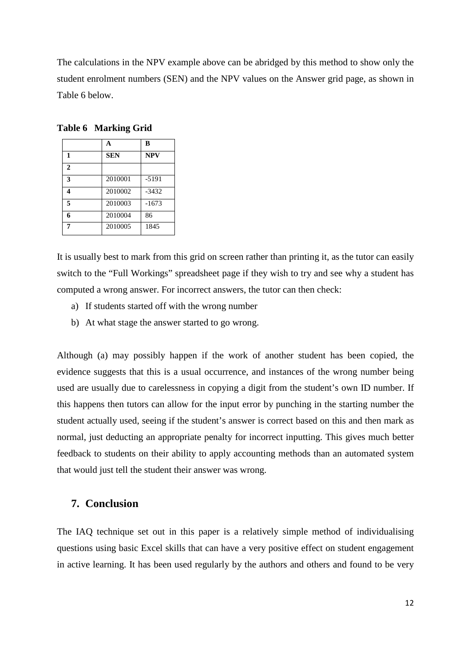The calculations in the NPV example above can be abridged by this method to show only the student enrolment numbers (SEN) and the NPV values on the Answer grid page, as shown in Table 6 below.

|              | A          | B          |
|--------------|------------|------------|
| 1            | <b>SEN</b> | <b>NPV</b> |
| $\mathbf{2}$ |            |            |
| 3            | 2010001    | $-5191$    |
| 4            | 2010002    | $-3432$    |
| 5            | 2010003    | $-1673$    |
| 6            | 2010004    | 86         |
| 7            | 2010005    | 1845       |

**Table 6 Marking Grid** 

It is usually best to mark from this grid on screen rather than printing it, as the tutor can easily switch to the "Full Workings" spreadsheet page if they wish to try and see why a student has computed a wrong answer. For incorrect answers, the tutor can then check:

- a) If students started off with the wrong number
- b) At what stage the answer started to go wrong.

Although (a) may possibly happen if the work of another student has been copied, the evidence suggests that this is a usual occurrence, and instances of the wrong number being used are usually due to carelessness in copying a digit from the student's own ID number. If this happens then tutors can allow for the input error by punching in the starting number the student actually used, seeing if the student's answer is correct based on this and then mark as normal, just deducting an appropriate penalty for incorrect inputting. This gives much better feedback to students on their ability to apply accounting methods than an automated system that would just tell the student their answer was wrong.

#### **7. Conclusion**

The IAQ technique set out in this paper is a relatively simple method of individualising questions using basic Excel skills that can have a very positive effect on student engagement in active learning. It has been used regularly by the authors and others and found to be very